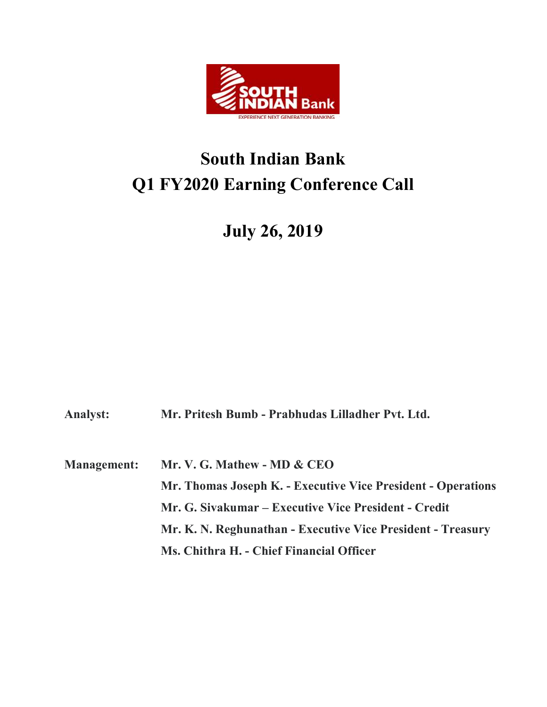

## South Indian Bank Q1 FY2020 Earning Conference Call

## July 26, 2019

Analyst: Mr. Pritesh Bumb - Prabhudas Lilladher Pvt. Ltd.

Management: Mr. V. G. Mathew - MD & CEO Mr. Thomas Joseph K. - Executive Vice President - Operations Mr. G. Sivakumar – Executive Vice President - Credit Mr. K. N. Reghunathan - Executive Vice President - Treasury Ms. Chithra H. - Chief Financial Officer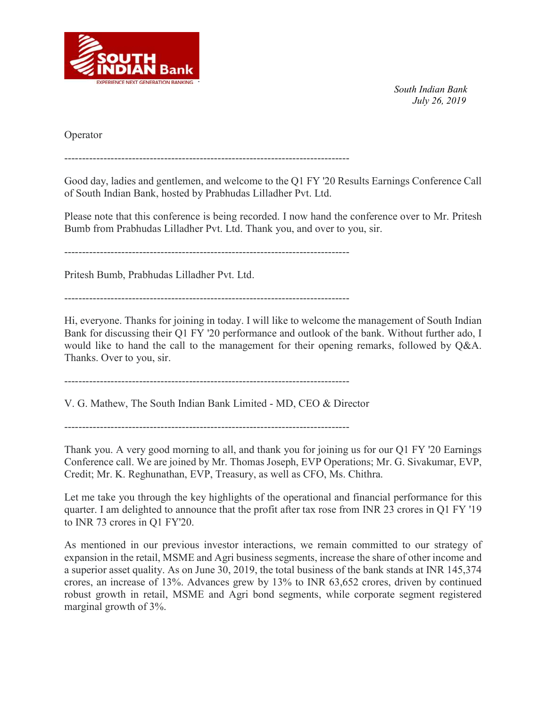

Operator

--------------------------------------------------------------------------------

Good day, ladies and gentlemen, and welcome to the Q1 FY '20 Results Earnings Conference Call of South Indian Bank, hosted by Prabhudas Lilladher Pvt. Ltd.

Please note that this conference is being recorded. I now hand the conference over to Mr. Pritesh Bumb from Prabhudas Lilladher Pvt. Ltd. Thank you, and over to you, sir.

--------------------------------------------------------------------------------

Pritesh Bumb, Prabhudas Lilladher Pvt. Ltd.

--------------------------------------------------------------------------------

Hi, everyone. Thanks for joining in today. I will like to welcome the management of South Indian Bank for discussing their Q1 FY '20 performance and outlook of the bank. Without further ado, I would like to hand the call to the management for their opening remarks, followed by Q&A. Thanks. Over to you, sir.

--------------------------------------------------------------------------------

V. G. Mathew, The South Indian Bank Limited - MD, CEO & Director

Thank you. A very good morning to all, and thank you for joining us for our Q1 FY '20 Earnings Conference call. We are joined by Mr. Thomas Joseph, EVP Operations; Mr. G. Sivakumar, EVP, Credit; Mr. K. Reghunathan, EVP, Treasury, as well as CFO, Ms. Chithra.

Let me take you through the key highlights of the operational and financial performance for this quarter. I am delighted to announce that the profit after tax rose from INR 23 crores in Q1 FY '19 to INR 73 crores in Q1 FY'20.

As mentioned in our previous investor interactions, we remain committed to our strategy of expansion in the retail, MSME and Agri business segments, increase the share of other income and a superior asset quality. As on June 30, 2019, the total business of the bank stands at INR 145,374 crores, an increase of 13%. Advances grew by 13% to INR 63,652 crores, driven by continued robust growth in retail, MSME and Agri bond segments, while corporate segment registered marginal growth of 3%.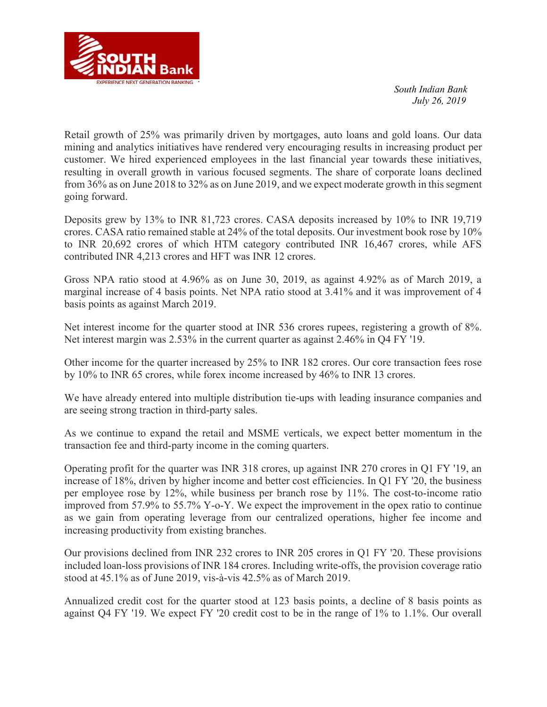

Retail growth of 25% was primarily driven by mortgages, auto loans and gold loans. Our data mining and analytics initiatives have rendered very encouraging results in increasing product per customer. We hired experienced employees in the last financial year towards these initiatives, resulting in overall growth in various focused segments. The share of corporate loans declined from 36% as on June 2018 to 32% as on June 2019, and we expect moderate growth in this segment going forward.

Deposits grew by 13% to INR 81,723 crores. CASA deposits increased by 10% to INR 19,719 crores. CASA ratio remained stable at 24% of the total deposits. Our investment book rose by 10% to INR 20,692 crores of which HTM category contributed INR 16,467 crores, while AFS contributed INR 4,213 crores and HFT was INR 12 crores.

Gross NPA ratio stood at 4.96% as on June 30, 2019, as against 4.92% as of March 2019, a marginal increase of 4 basis points. Net NPA ratio stood at 3.41% and it was improvement of 4 basis points as against March 2019.

Net interest income for the quarter stood at INR 536 crores rupees, registering a growth of 8%. Net interest margin was 2.53% in the current quarter as against 2.46% in Q4 FY '19.

Other income for the quarter increased by 25% to INR 182 crores. Our core transaction fees rose by 10% to INR 65 crores, while forex income increased by 46% to INR 13 crores.

We have already entered into multiple distribution tie-ups with leading insurance companies and are seeing strong traction in third-party sales.

As we continue to expand the retail and MSME verticals, we expect better momentum in the transaction fee and third-party income in the coming quarters.

Operating profit for the quarter was INR 318 crores, up against INR 270 crores in Q1 FY '19, an increase of 18%, driven by higher income and better cost efficiencies. In Q1 FY '20, the business per employee rose by 12%, while business per branch rose by 11%. The cost-to-income ratio improved from 57.9% to 55.7% Y-o-Y. We expect the improvement in the opex ratio to continue as we gain from operating leverage from our centralized operations, higher fee income and increasing productivity from existing branches.

Our provisions declined from INR 232 crores to INR 205 crores in Q1 FY '20. These provisions included loan-loss provisions of INR 184 crores. Including write-offs, the provision coverage ratio stood at 45.1% as of June 2019, vis-à-vis 42.5% as of March 2019.

Annualized credit cost for the quarter stood at 123 basis points, a decline of 8 basis points as against Q4 FY '19. We expect FY '20 credit cost to be in the range of 1% to 1.1%. Our overall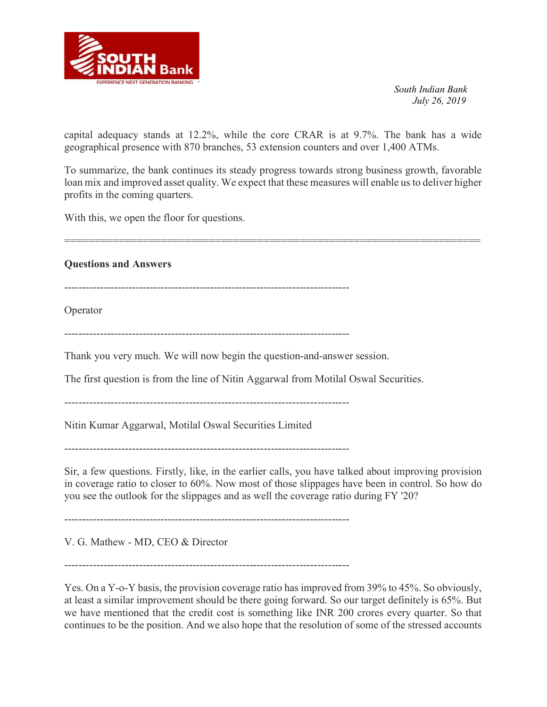

capital adequacy stands at 12.2%, while the core CRAR is at 9.7%. The bank has a wide geographical presence with 870 branches, 53 extension counters and over 1,400 ATMs.

To summarize, the bank continues its steady progress towards strong business growth, favorable loan mix and improved asset quality. We expect that these measures will enable us to deliver higher profits in the coming quarters.

=====================================================================

With this, we open the floor for questions.

Questions and Answers

--------------------------------------------------------------------------------

Operator

--------------------------------------------------------------------------------

Thank you very much. We will now begin the question-and-answer session.

The first question is from the line of Nitin Aggarwal from Motilal Oswal Securities.

--------------------------------------------------------------------------------

Nitin Kumar Aggarwal, Motilal Oswal Securities Limited

--------------------------------------------------------------------------------

Sir, a few questions. Firstly, like, in the earlier calls, you have talked about improving provision in coverage ratio to closer to 60%. Now most of those slippages have been in control. So how do you see the outlook for the slippages and as well the coverage ratio during FY '20?

--------------------------------------------------------------------------------

V. G. Mathew - MD, CEO & Director

--------------------------------------------------------------------------------

Yes. On a Y-o-Y basis, the provision coverage ratio has improved from 39% to 45%. So obviously, at least a similar improvement should be there going forward. So our target definitely is 65%. But we have mentioned that the credit cost is something like INR 200 crores every quarter. So that continues to be the position. And we also hope that the resolution of some of the stressed accounts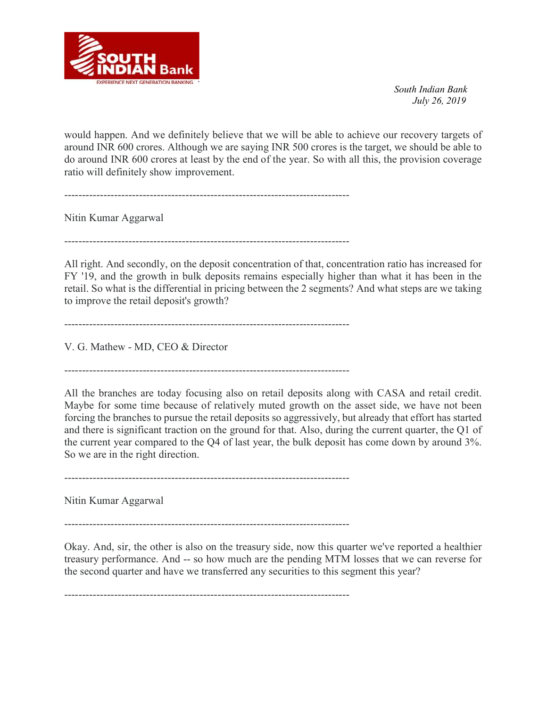

would happen. And we definitely believe that we will be able to achieve our recovery targets of around INR 600 crores. Although we are saying INR 500 crores is the target, we should be able to do around INR 600 crores at least by the end of the year. So with all this, the provision coverage ratio will definitely show improvement.

 $-$ 

Nitin Kumar Aggarwal

--------------------------------------------------------------------------------

All right. And secondly, on the deposit concentration of that, concentration ratio has increased for FY '19, and the growth in bulk deposits remains especially higher than what it has been in the retail. So what is the differential in pricing between the 2 segments? And what steps are we taking to improve the retail deposit's growth?

--------------------------------------------------------------------------------

V. G. Mathew - MD, CEO & Director

All the branches are today focusing also on retail deposits along with CASA and retail credit. Maybe for some time because of relatively muted growth on the asset side, we have not been forcing the branches to pursue the retail deposits so aggressively, but already that effort has started and there is significant traction on the ground for that. Also, during the current quarter, the Q1 of the current year compared to the Q4 of last year, the bulk deposit has come down by around 3%. So we are in the right direction.

--------------------------------------------------------------------------------

Nitin Kumar Aggarwal

--------------------------------------------------------------------------------

Okay. And, sir, the other is also on the treasury side, now this quarter we've reported a healthier treasury performance. And -- so how much are the pending MTM losses that we can reverse for the second quarter and have we transferred any securities to this segment this year?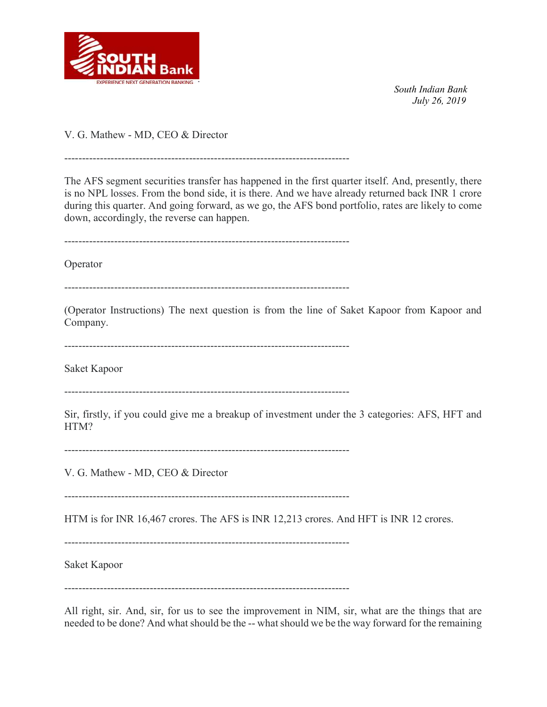

V. G. Mathew - MD, CEO & Director

--------------------------------------------------------------------------------

The AFS segment securities transfer has happened in the first quarter itself. And, presently, there is no NPL losses. From the bond side, it is there. And we have already returned back INR 1 crore during this quarter. And going forward, as we go, the AFS bond portfolio, rates are likely to come down, accordingly, the reverse can happen.

--------------------------------------------------------------------------------

Operator

--------------------------------------------------------------------------------

(Operator Instructions) The next question is from the line of Saket Kapoor from Kapoor and Company.

--------------------------------------------------------------------------------

Saket Kapoor

--------------------------------------------------------------------------------

Sir, firstly, if you could give me a breakup of investment under the 3 categories: AFS, HFT and HTM?

--------------------------------------------------------------------------------

V. G. Mathew - MD, CEO & Director

--------------------------------------------------------------------------------

HTM is for INR 16,467 crores. The AFS is INR 12,213 crores. And HFT is INR 12 crores.

--------------------------------------------------------------------------------

Saket Kapoor

--------------------------------------------------------------------------------

All right, sir. And, sir, for us to see the improvement in NIM, sir, what are the things that are needed to be done? And what should be the -- what should we be the way forward for the remaining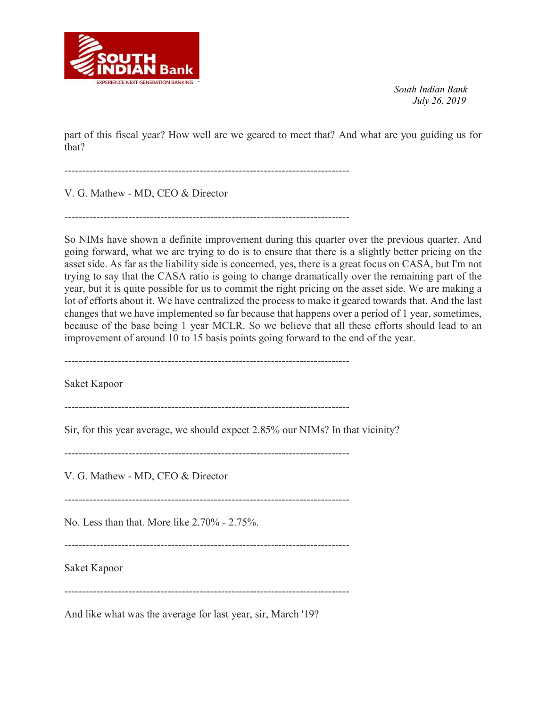

part of this fiscal year? How well are we geared to meet that? And what are you guiding us for that?

--------------------------------------------------------------------------------

V. G. Mathew - MD, CEO & Director

 $-$ 

So NIMs have shown a definite improvement during this quarter over the previous quarter. And going forward, what we are trying to do is to ensure that there is a slightly better pricing on the asset side. As far as the liability side is concerned, yes, there is a great focus on CASA, but I'm not trying to say that the CASA ratio is going to change dramatically over the remaining part of the year, but it is quite possible for us to commit the right pricing on the asset side. We are making a lot of efforts about it. We have centralized the process to make it geared towards that. And the last changes that we have implemented so far because that happens over a period of 1 year, sometimes, because of the base being 1 year MCLR. So we believe that all these efforts should lead to an improvement of around 10 to 15 basis points going forward to the end of the year.

--------------------------------------------------------------------------------

Saket Kapoor

--------------------------------------------------------------------------------

Sir, for this year average, we should expect 2.85% our NIMs? In that vicinity?

--------------------------------------------------------------------------------

V. G. Mathew - MD, CEO & Director

--------------------------------------------------------------------------------

No. Less than that. More like 2.70% - 2.75%.

--------------------------------------------------------------------------------

Saket Kapoor

--------------------------------------------------------------------------------

And like what was the average for last year, sir, March '19?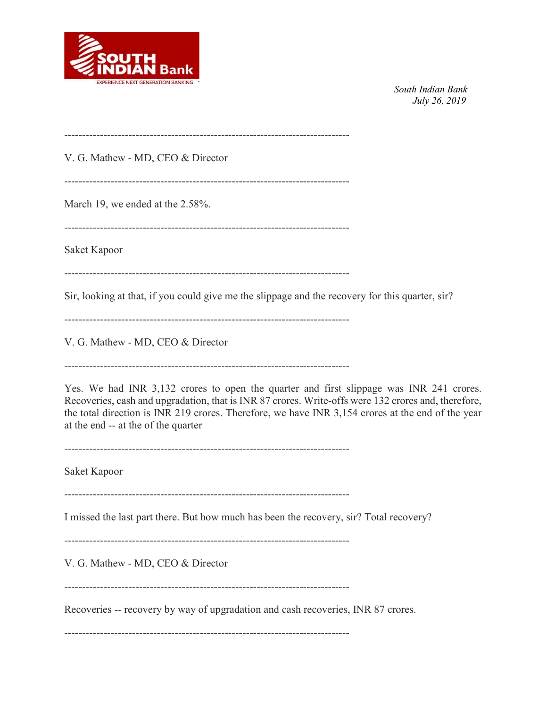

--------------------------------------------------------------------------------

V. G. Mathew - MD, CEO & Director

--------------------------------------------------------------------------------

March 19, we ended at the 2.58%.

--------------------------------------------------------------------------------

Saket Kapoor

--------------------------------------------------------------------------------

Sir, looking at that, if you could give me the slippage and the recovery for this quarter, sir?

--------------------------------------------------------------------------------

V. G. Mathew - MD, CEO & Director

--------------------------------------------------------------------------------

Yes. We had INR 3,132 crores to open the quarter and first slippage was INR 241 crores. Recoveries, cash and upgradation, that is INR 87 crores. Write-offs were 132 crores and, therefore, the total direction is INR 219 crores. Therefore, we have INR 3,154 crores at the end of the year at the end -- at the of the quarter

--------------------------------------------------------------------------------

Saket Kapoor

--------------------------------------------------------------------------------

I missed the last part there. But how much has been the recovery, sir? Total recovery?

--------------------------------------------------------------------------------

V. G. Mathew - MD, CEO & Director

--------------------------------------------------------------------------------

Recoveries -- recovery by way of upgradation and cash recoveries, INR 87 crores.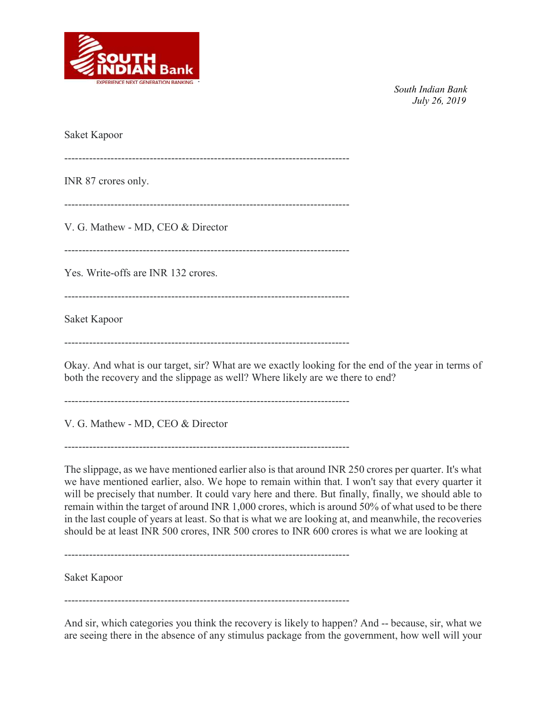

Saket Kapoor -------------------------------------------------------------------------------- INR 87 crores only. -------------------------------------------------------------------------------- V. G. Mathew - MD, CEO & Director -------------------------------------------------------------------------------- Yes. Write-offs are INR 132 crores. -------------------------------------------------------------------------------- Saket Kapoor --------------------------------------------------------------------------------

Okay. And what is our target, sir? What are we exactly looking for the end of the year in terms of both the recovery and the slippage as well? Where likely are we there to end?

--------------------------------------------------------------------------------

V. G. Mathew - MD, CEO & Director

--------------------------------------------------------------------------------

The slippage, as we have mentioned earlier also is that around INR 250 crores per quarter. It's what we have mentioned earlier, also. We hope to remain within that. I won't say that every quarter it will be precisely that number. It could vary here and there. But finally, finally, we should able to remain within the target of around INR 1,000 crores, which is around 50% of what used to be there in the last couple of years at least. So that is what we are looking at, and meanwhile, the recoveries should be at least INR 500 crores, INR 500 crores to INR 600 crores is what we are looking at

--------------------------------------------------------------------------------

Saket Kapoor

--------------------------------------------------------------------------------

And sir, which categories you think the recovery is likely to happen? And -- because, sir, what we are seeing there in the absence of any stimulus package from the government, how well will your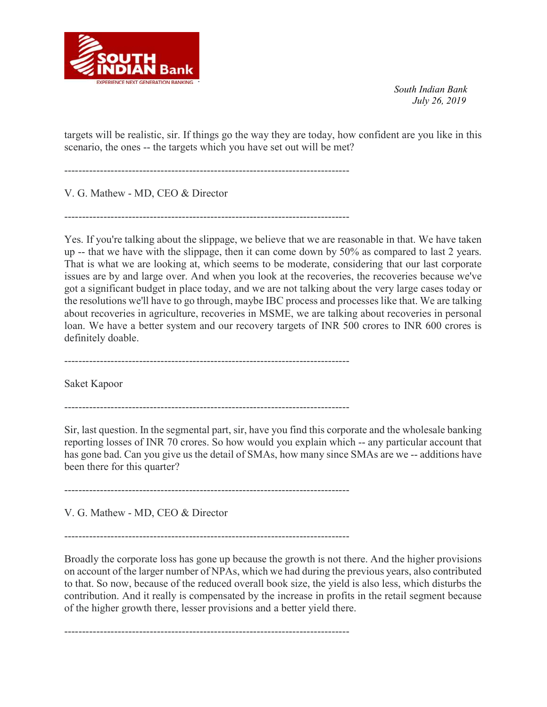

targets will be realistic, sir. If things go the way they are today, how confident are you like in this scenario, the ones -- the targets which you have set out will be met?

--------------------------------------------------------------------------------

V. G. Mathew - MD, CEO & Director

--------------------------------------------------------------------------------

Yes. If you're talking about the slippage, we believe that we are reasonable in that. We have taken up -- that we have with the slippage, then it can come down by 50% as compared to last 2 years. That is what we are looking at, which seems to be moderate, considering that our last corporate issues are by and large over. And when you look at the recoveries, the recoveries because we've got a significant budget in place today, and we are not talking about the very large cases today or the resolutions we'll have to go through, maybe IBC process and processes like that. We are talking about recoveries in agriculture, recoveries in MSME, we are talking about recoveries in personal loan. We have a better system and our recovery targets of INR 500 crores to INR 600 crores is definitely doable.

--------------------------------------------------------------------------------

Saket Kapoor

--------------------------------------------------------------------------------

Sir, last question. In the segmental part, sir, have you find this corporate and the wholesale banking reporting losses of INR 70 crores. So how would you explain which -- any particular account that has gone bad. Can you give us the detail of SMAs, how many since SMAs are we -- additions have been there for this quarter?

--------------------------------------------------------------------------------

V. G. Mathew - MD, CEO & Director

--------------------------------------------------------------------------------

Broadly the corporate loss has gone up because the growth is not there. And the higher provisions on account of the larger number of NPAs, which we had during the previous years, also contributed to that. So now, because of the reduced overall book size, the yield is also less, which disturbs the contribution. And it really is compensated by the increase in profits in the retail segment because of the higher growth there, lesser provisions and a better yield there.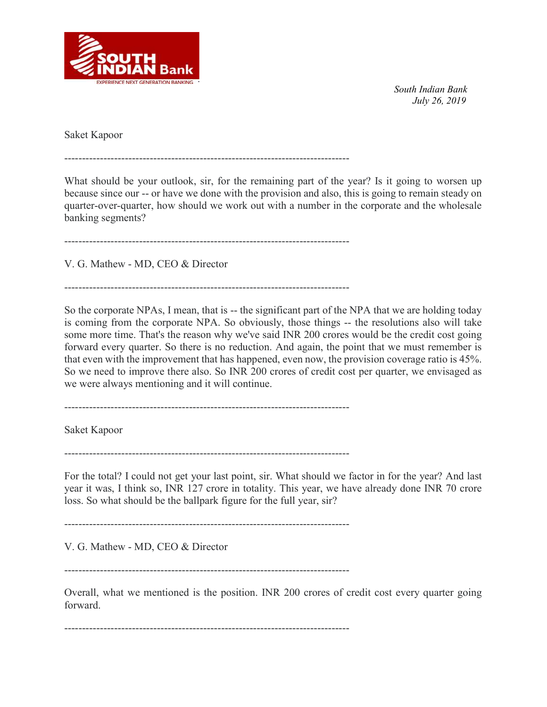

Saket Kapoor

--------------------------------------------------------------------------------

What should be your outlook, sir, for the remaining part of the year? Is it going to worsen up because since our -- or have we done with the provision and also, this is going to remain steady on quarter-over-quarter, how should we work out with a number in the corporate and the wholesale banking segments?

--------------------------------------------------------------------------------

V. G. Mathew - MD, CEO & Director

--------------------------------------------------------------------------------

So the corporate NPAs, I mean, that is -- the significant part of the NPA that we are holding today is coming from the corporate NPA. So obviously, those things -- the resolutions also will take some more time. That's the reason why we've said INR 200 crores would be the credit cost going forward every quarter. So there is no reduction. And again, the point that we must remember is that even with the improvement that has happened, even now, the provision coverage ratio is 45%. So we need to improve there also. So INR 200 crores of credit cost per quarter, we envisaged as we were always mentioning and it will continue.

--------------------------------------------------------------------------------

Saket Kapoor

--------------------------------------------------------------------------------

For the total? I could not get your last point, sir. What should we factor in for the year? And last year it was, I think so, INR 127 crore in totality. This year, we have already done INR 70 crore loss. So what should be the ballpark figure for the full year, sir?

--------------------------------------------------------------------------------

V. G. Mathew - MD, CEO & Director

--------------------------------------------------------------------------------

Overall, what we mentioned is the position. INR 200 crores of credit cost every quarter going forward.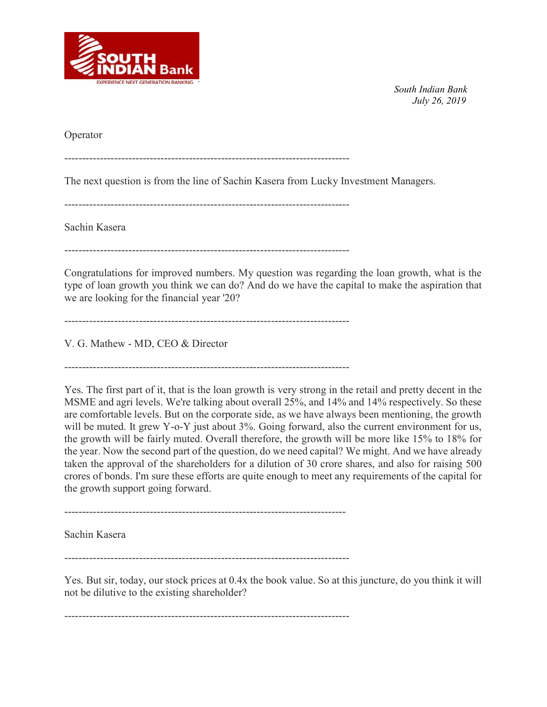

Operator

--------------------------------------------------------------------------------

The next question is from the line of Sachin Kasera from Lucky Investment Managers.

--------------------------------------------------------------------------------

--------------------------------------------------------------------------------

Sachin Kasera

--------------------------------------------------------------------------------

Congratulations for improved numbers. My question was regarding the loan growth, what is the type of loan growth you think we can do? And do we have the capital to make the aspiration that we are looking for the financial year '20?

--------------------------------------------------------------------------------

V. G. Mathew - MD, CEO & Director

Yes. The first part of it, that is the loan growth is very strong in the retail and pretty decent in the MSME and agri levels. We're talking about overall 25%, and 14% and 14% respectively. So these are comfortable levels. But on the corporate side, as we have always been mentioning, the growth will be muted. It grew Y-o-Y just about 3%. Going forward, also the current environment for us, the growth will be fairly muted. Overall therefore, the growth will be more like 15% to 18% for the year. Now the second part of the question, do we need capital? We might. And we have already taken the approval of the shareholders for a dilution of 30 crore shares, and also for raising 500 crores of bonds. I'm sure these efforts are quite enough to meet any requirements of the capital for the growth support going forward.

-------------------------------------------------------------------------------

Sachin Kasera

--------------------------------------------------------------------------------

Yes. But sir, today, our stock prices at 0.4x the book value. So at this juncture, do you think it will not be dilutive to the existing shareholder?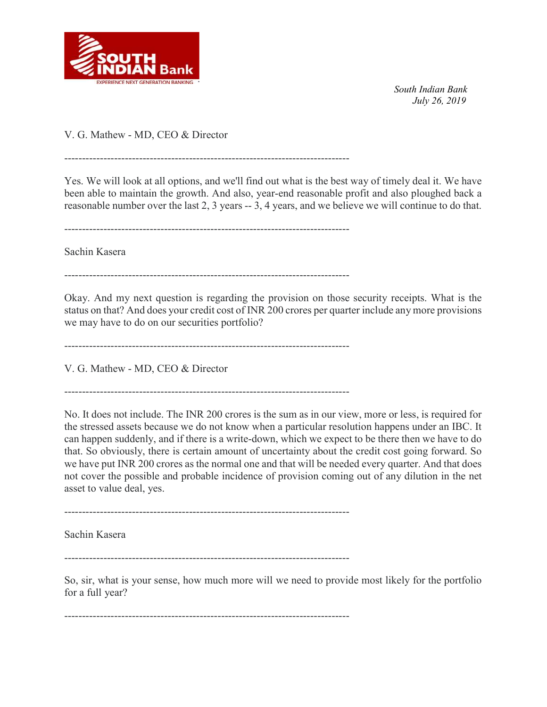

V. G. Mathew - MD, CEO & Director

--------------------------------------------------------------------------------

Yes. We will look at all options, and we'll find out what is the best way of timely deal it. We have been able to maintain the growth. And also, year-end reasonable profit and also ploughed back a reasonable number over the last 2, 3 years -- 3, 4 years, and we believe we will continue to do that.

--------------------------------------------------------------------------------

Sachin Kasera

--------------------------------------------------------------------------------

Okay. And my next question is regarding the provision on those security receipts. What is the status on that? And does your credit cost of INR 200 crores per quarter include any more provisions we may have to do on our securities portfolio?

--------------------------------------------------------------------------------

V. G. Mathew - MD, CEO & Director

--------------------------------------------------------------------------------

No. It does not include. The INR 200 crores is the sum as in our view, more or less, is required for the stressed assets because we do not know when a particular resolution happens under an IBC. It can happen suddenly, and if there is a write-down, which we expect to be there then we have to do that. So obviously, there is certain amount of uncertainty about the credit cost going forward. So we have put INR 200 crores as the normal one and that will be needed every quarter. And that does not cover the possible and probable incidence of provision coming out of any dilution in the net asset to value deal, yes.

--------------------------------------------------------------------------------

Sachin Kasera

--------------------------------------------------------------------------------

So, sir, what is your sense, how much more will we need to provide most likely for the portfolio for a full year?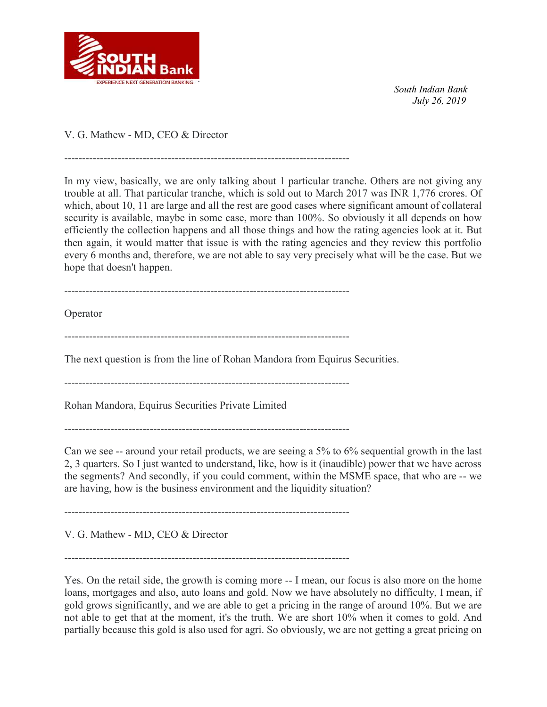

V. G. Mathew - MD, CEO & Director

In my view, basically, we are only talking about 1 particular tranche. Others are not giving any trouble at all. That particular tranche, which is sold out to March 2017 was INR 1,776 crores. Of which, about 10, 11 are large and all the rest are good cases where significant amount of collateral security is available, maybe in some case, more than 100%. So obviously it all depends on how efficiently the collection happens and all those things and how the rating agencies look at it. But then again, it would matter that issue is with the rating agencies and they review this portfolio every 6 months and, therefore, we are not able to say very precisely what will be the case. But we hope that doesn't happen.

--------------------------------------------------------------------------------

--------------------------------------------------------------------------------

Operator

--------------------------------------------------------------------------------

The next question is from the line of Rohan Mandora from Equirus Securities.

--------------------------------------------------------------------------------

Rohan Mandora, Equirus Securities Private Limited

--------------------------------------------------------------------------------

Can we see -- around your retail products, we are seeing a 5% to 6% sequential growth in the last 2, 3 quarters. So I just wanted to understand, like, how is it (inaudible) power that we have across the segments? And secondly, if you could comment, within the MSME space, that who are -- we are having, how is the business environment and the liquidity situation?

--------------------------------------------------------------------------------

V. G. Mathew - MD, CEO & Director

--------------------------------------------------------------------------------

Yes. On the retail side, the growth is coming more -- I mean, our focus is also more on the home loans, mortgages and also, auto loans and gold. Now we have absolutely no difficulty, I mean, if gold grows significantly, and we are able to get a pricing in the range of around 10%. But we are not able to get that at the moment, it's the truth. We are short 10% when it comes to gold. And partially because this gold is also used for agri. So obviously, we are not getting a great pricing on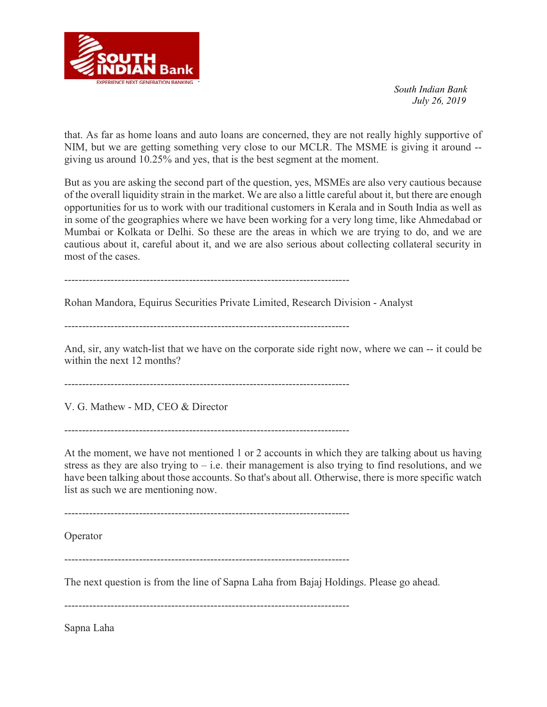

that. As far as home loans and auto loans are concerned, they are not really highly supportive of NIM, but we are getting something very close to our MCLR. The MSME is giving it around - giving us around 10.25% and yes, that is the best segment at the moment.

But as you are asking the second part of the question, yes, MSMEs are also very cautious because of the overall liquidity strain in the market. We are also a little careful about it, but there are enough opportunities for us to work with our traditional customers in Kerala and in South India as well as in some of the geographies where we have been working for a very long time, like Ahmedabad or Mumbai or Kolkata or Delhi. So these are the areas in which we are trying to do, and we are cautious about it, careful about it, and we are also serious about collecting collateral security in most of the cases.

--------------------------------------------------------------------------------

Rohan Mandora, Equirus Securities Private Limited, Research Division - Analyst

--------------------------------------------------------------------------------

And, sir, any watch-list that we have on the corporate side right now, where we can -- it could be within the next 12 months?

--------------------------------------------------------------------------------

V. G. Mathew - MD, CEO & Director

--------------------------------------------------------------------------------

At the moment, we have not mentioned 1 or 2 accounts in which they are talking about us having stress as they are also trying to  $-$  i.e. their management is also trying to find resolutions, and we have been talking about those accounts. So that's about all. Otherwise, there is more specific watch list as such we are mentioning now.

--------------------------------------------------------------------------------

Operator

--------------------------------------------------------------------------------

The next question is from the line of Sapna Laha from Bajaj Holdings. Please go ahead.

--------------------------------------------------------------------------------

Sapna Laha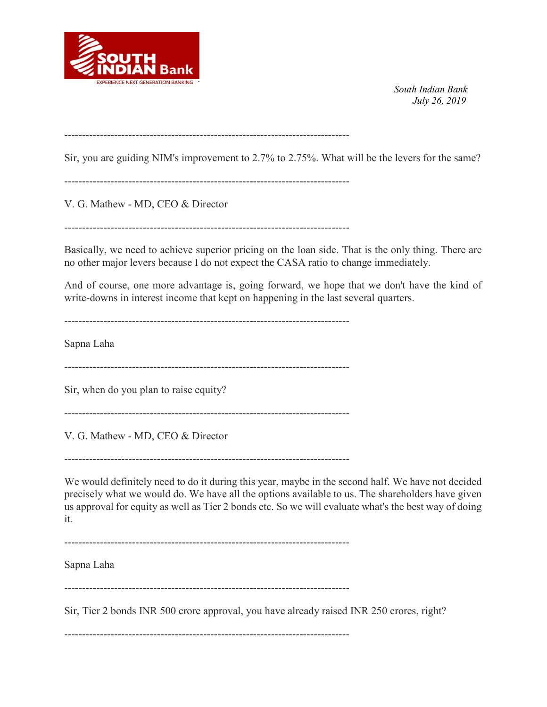

--------------------------------------------------------------------------------

Sir, you are guiding NIM's improvement to 2.7% to 2.75%. What will be the levers for the same?

--------------------------------------------------------------------------------

V. G. Mathew - MD, CEO & Director

--------------------------------------------------------------------------------

Basically, we need to achieve superior pricing on the loan side. That is the only thing. There are no other major levers because I do not expect the CASA ratio to change immediately.

And of course, one more advantage is, going forward, we hope that we don't have the kind of write-downs in interest income that kept on happening in the last several quarters.

--------------------------------------------------------------------------------

Sapna Laha

--------------------------------------------------------------------------------

Sir, when do you plan to raise equity?

--------------------------------------------------------------------------------

V. G. Mathew - MD, CEO & Director

--------------------------------------------------------------------------------

We would definitely need to do it during this year, maybe in the second half. We have not decided precisely what we would do. We have all the options available to us. The shareholders have given us approval for equity as well as Tier 2 bonds etc. So we will evaluate what's the best way of doing it.

--------------------------------------------------------------------------------

Sapna Laha

--------------------------------------------------------------------------------

Sir, Tier 2 bonds INR 500 crore approval, you have already raised INR 250 crores, right?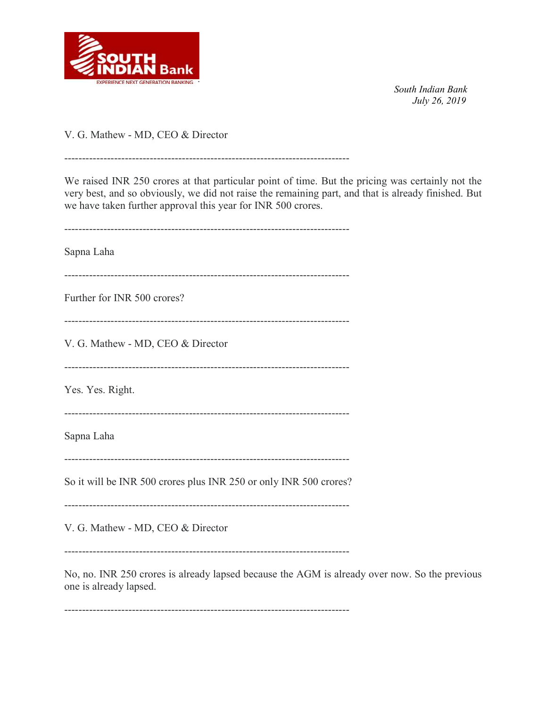

V. G. Mathew - MD, CEO & Director

We raised INR 250 crores at that particular point of time. But the pricing was certainly not the very best, and so obviously, we did not raise the remaining part, and that is already finished. But we have taken further approval this year for INR 500 crores.

--------------------------------------------------------------------------------

-------------------------------------------------------------------------------- Sapna Laha -------------------------------------------------------------------------------- Further for INR 500 crores? -------------------------------------------------------------------------------- V. G. Mathew - MD, CEO & Director -------------------------------------------------------------------------------- Yes. Yes. Right. -------------------------------------------------------------------------------- Sapna Laha -------------------------------------------------------------------------------- So it will be INR 500 crores plus INR 250 or only INR 500 crores? -------------------------------------------------------------------------------- V. G. Mathew - MD, CEO & Director

--------------------------------------------------------------------------------

No, no. INR 250 crores is already lapsed because the AGM is already over now. So the previous one is already lapsed.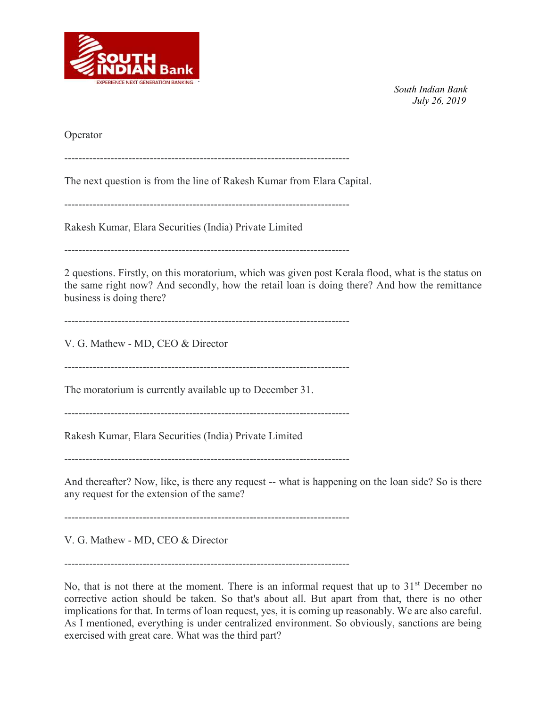

Operator

--------------------------------------------------------------------------------

The next question is from the line of Rakesh Kumar from Elara Capital.

--------------------------------------------------------------------------------

Rakesh Kumar, Elara Securities (India) Private Limited

--------------------------------------------------------------------------------

2 questions. Firstly, on this moratorium, which was given post Kerala flood, what is the status on the same right now? And secondly, how the retail loan is doing there? And how the remittance business is doing there?

--------------------------------------------------------------------------------

V. G. Mathew - MD, CEO & Director

--------------------------------------------------------------------------------

The moratorium is currently available up to December 31.

--------------------------------------------------------------------------------

Rakesh Kumar, Elara Securities (India) Private Limited

--------------------------------------------------------------------------------

And thereafter? Now, like, is there any request -- what is happening on the loan side? So is there any request for the extension of the same?

--------------------------------------------------------------------------------

V. G. Mathew - MD, CEO & Director

--------------------------------------------------------------------------------

No, that is not there at the moment. There is an informal request that up to  $31<sup>st</sup>$  December no corrective action should be taken. So that's about all. But apart from that, there is no other implications for that. In terms of loan request, yes, it is coming up reasonably. We are also careful. As I mentioned, everything is under centralized environment. So obviously, sanctions are being exercised with great care. What was the third part?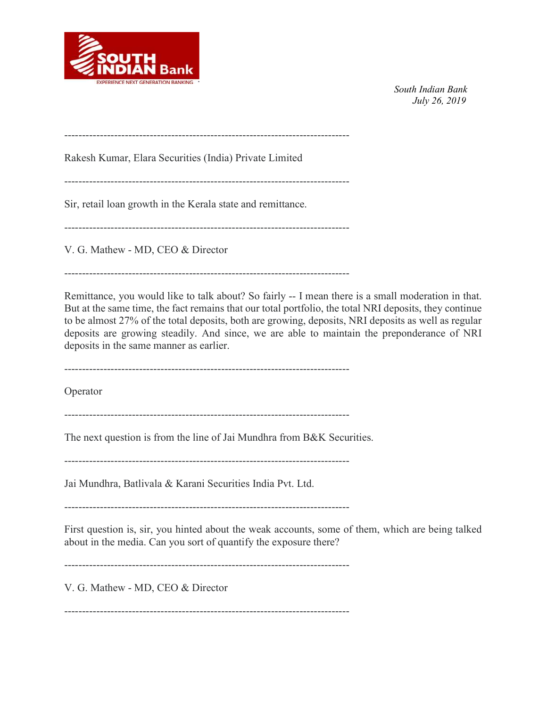

--------------------------------------------------------------------------------

Rakesh Kumar, Elara Securities (India) Private Limited

--------------------------------------------------------------------------------

Sir, retail loan growth in the Kerala state and remittance.

--------------------------------------------------------------------------------

V. G. Mathew - MD, CEO & Director

--------------------------------------------------------------------------------

Remittance, you would like to talk about? So fairly -- I mean there is a small moderation in that. But at the same time, the fact remains that our total portfolio, the total NRI deposits, they continue to be almost 27% of the total deposits, both are growing, deposits, NRI deposits as well as regular deposits are growing steadily. And since, we are able to maintain the preponderance of NRI deposits in the same manner as earlier.

--------------------------------------------------------------------------------

Operator

--------------------------------------------------------------------------------

The next question is from the line of Jai Mundhra from B&K Securities.

--------------------------------------------------------------------------------

Jai Mundhra, Batlivala & Karani Securities India Pvt. Ltd.

--------------------------------------------------------------------------------

First question is, sir, you hinted about the weak accounts, some of them, which are being talked about in the media. Can you sort of quantify the exposure there?

--------------------------------------------------------------------------------

V. G. Mathew - MD, CEO & Director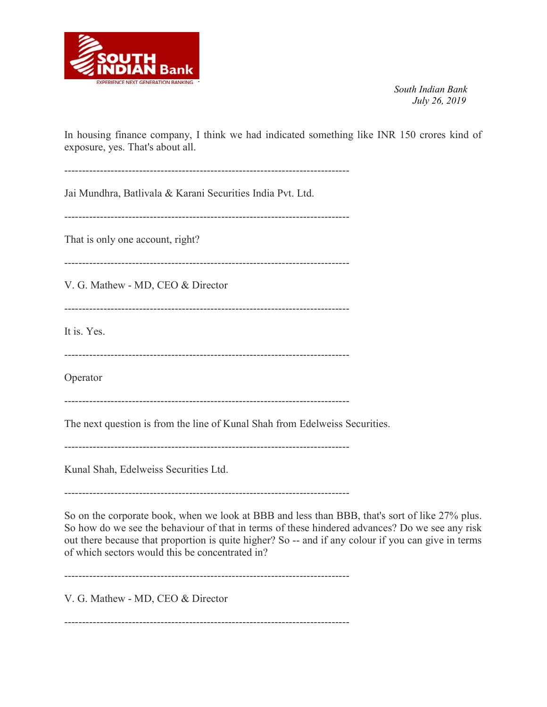

In housing finance company, I think we had indicated something like INR 150 crores kind of exposure, yes. That's about all.

-------------------------------------------------------------------------------- Jai Mundhra, Batlivala & Karani Securities India Pvt. Ltd. -------------------------------------------------------------------------------- That is only one account, right? -------------------------------------------------------------------------------- V. G. Mathew - MD, CEO & Director -------------------------------------------------------------------------------- It is. Yes. -------------------------------------------------------------------------------- Operator -------------------------------------------------------------------------------- The next question is from the line of Kunal Shah from Edelweiss Securities. -------------------------------------------------------------------------------- Kunal Shah, Edelweiss Securities Ltd. --------------------------------------------------------------------------------

So on the corporate book, when we look at BBB and less than BBB, that's sort of like 27% plus. So how do we see the behaviour of that in terms of these hindered advances? Do we see any risk out there because that proportion is quite higher? So -- and if any colour if you can give in terms of which sectors would this be concentrated in?

--------------------------------------------------------------------------------

V. G. Mathew - MD, CEO & Director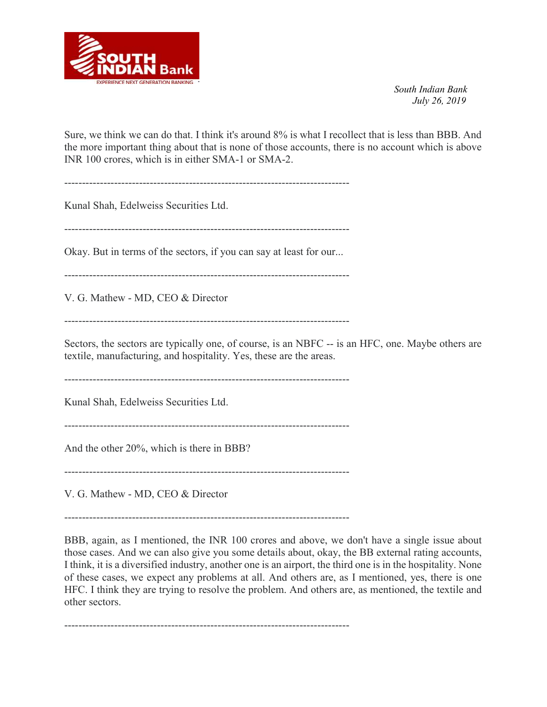

Sure, we think we can do that. I think it's around 8% is what I recollect that is less than BBB. And the more important thing about that is none of those accounts, there is no account which is above INR 100 crores, which is in either SMA-1 or SMA-2.

--------------------------------------------------------------------------------

Kunal Shah, Edelweiss Securities Ltd.

--------------------------------------------------------------------------------

Okay. But in terms of the sectors, if you can say at least for our...

--------------------------------------------------------------------------------

V. G. Mathew - MD, CEO & Director

--------------------------------------------------------------------------------

Sectors, the sectors are typically one, of course, is an NBFC -- is an HFC, one. Maybe others are textile, manufacturing, and hospitality. Yes, these are the areas.

--------------------------------------------------------------------------------

Kunal Shah, Edelweiss Securities Ltd.

--------------------------------------------------------------------------------

And the other 20%, which is there in BBB?

--------------------------------------------------------------------------------

V. G. Mathew - MD, CEO & Director

--------------------------------------------------------------------------------

BBB, again, as I mentioned, the INR 100 crores and above, we don't have a single issue about those cases. And we can also give you some details about, okay, the BB external rating accounts, I think, it is a diversified industry, another one is an airport, the third one is in the hospitality. None of these cases, we expect any problems at all. And others are, as I mentioned, yes, there is one HFC. I think they are trying to resolve the problem. And others are, as mentioned, the textile and other sectors.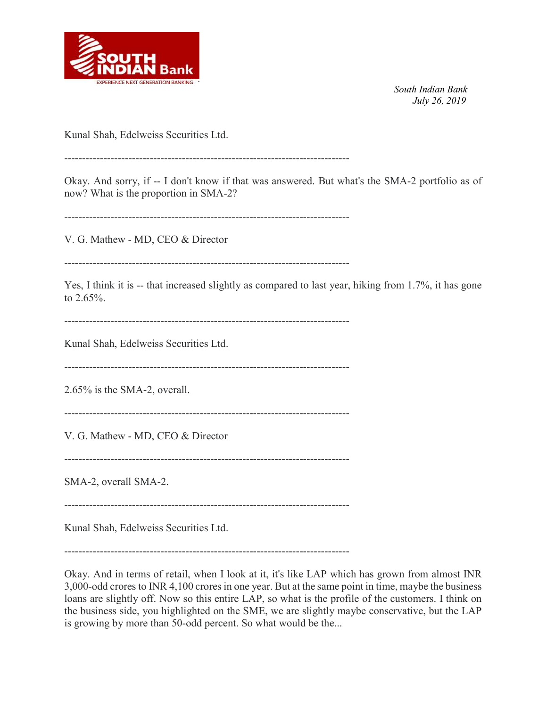

Kunal Shah, Edelweiss Securities Ltd.

--------------------------------------------------------------------------------

Okay. And sorry, if -- I don't know if that was answered. But what's the SMA-2 portfolio as of now? What is the proportion in SMA-2?

--------------------------------------------------------------------------------

V. G. Mathew - MD, CEO & Director

--------------------------------------------------------------------------------

Yes, I think it is -- that increased slightly as compared to last year, hiking from 1.7%, it has gone to 2.65%.

--------------------------------------------------------------------------------

Kunal Shah, Edelweiss Securities Ltd.

--------------------------------------------------------------------------------

2.65% is the SMA-2, overall.

--------------------------------------------------------------------------------

V. G. Mathew - MD, CEO & Director

--------------------------------------------------------------------------------

SMA-2, overall SMA-2.

--------------------------------------------------------------------------------

Kunal Shah, Edelweiss Securities Ltd.

--------------------------------------------------------------------------------

Okay. And in terms of retail, when I look at it, it's like LAP which has grown from almost INR 3,000-odd crores to INR 4,100 crores in one year. But at the same point in time, maybe the business loans are slightly off. Now so this entire LAP, so what is the profile of the customers. I think on the business side, you highlighted on the SME, we are slightly maybe conservative, but the LAP is growing by more than 50-odd percent. So what would be the...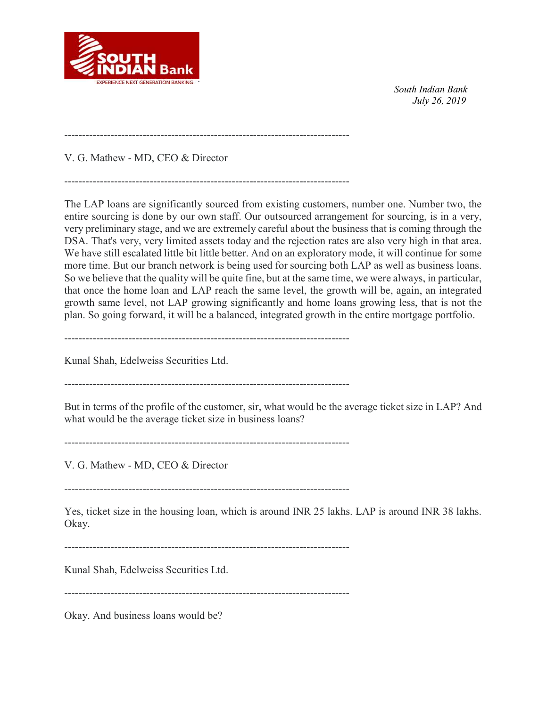

--------------------------------------------------------------------------------

V. G. Mathew - MD, CEO & Director

The LAP loans are significantly sourced from existing customers, number one. Number two, the entire sourcing is done by our own staff. Our outsourced arrangement for sourcing, is in a very, very preliminary stage, and we are extremely careful about the business that is coming through the DSA. That's very, very limited assets today and the rejection rates are also very high in that area. We have still escalated little bit little better. And on an exploratory mode, it will continue for some more time. But our branch network is being used for sourcing both LAP as well as business loans. So we believe that the quality will be quite fine, but at the same time, we were always, in particular, that once the home loan and LAP reach the same level, the growth will be, again, an integrated growth same level, not LAP growing significantly and home loans growing less, that is not the plan. So going forward, it will be a balanced, integrated growth in the entire mortgage portfolio.

--------------------------------------------------------------------------------

Kunal Shah, Edelweiss Securities Ltd.

--------------------------------------------------------------------------------

But in terms of the profile of the customer, sir, what would be the average ticket size in LAP? And what would be the average ticket size in business loans?

--------------------------------------------------------------------------------

V. G. Mathew - MD, CEO & Director

--------------------------------------------------------------------------------

Yes, ticket size in the housing loan, which is around INR 25 lakhs. LAP is around INR 38 lakhs. Okay.

--------------------------------------------------------------------------------

Kunal Shah, Edelweiss Securities Ltd.

--------------------------------------------------------------------------------

Okay. And business loans would be?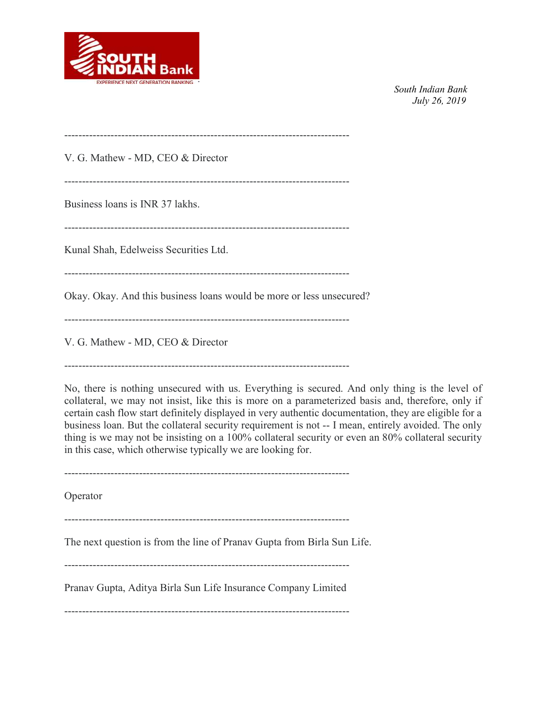

-------------------------------------------------------------------------------- V. G. Mathew - MD, CEO & Director -------------------------------------------------------------------------------- Business loans is INR 37 lakhs. -------------------------------------------------------------------------------- Kunal Shah, Edelweiss Securities Ltd. -------------------------------------------------------------------------------- Okay. Okay. And this business loans would be more or less unsecured? -------------------------------------------------------------------------------- V. G. Mathew - MD, CEO & Director

--------------------------------------------------------------------------------

No, there is nothing unsecured with us. Everything is secured. And only thing is the level of collateral, we may not insist, like this is more on a parameterized basis and, therefore, only if certain cash flow start definitely displayed in very authentic documentation, they are eligible for a business loan. But the collateral security requirement is not -- I mean, entirely avoided. The only thing is we may not be insisting on a 100% collateral security or even an 80% collateral security in this case, which otherwise typically we are looking for.

--------------------------------------------------------------------------------

Operator

--------------------------------------------------------------------------------

The next question is from the line of Pranav Gupta from Birla Sun Life.

--------------------------------------------------------------------------------

Pranav Gupta, Aditya Birla Sun Life Insurance Company Limited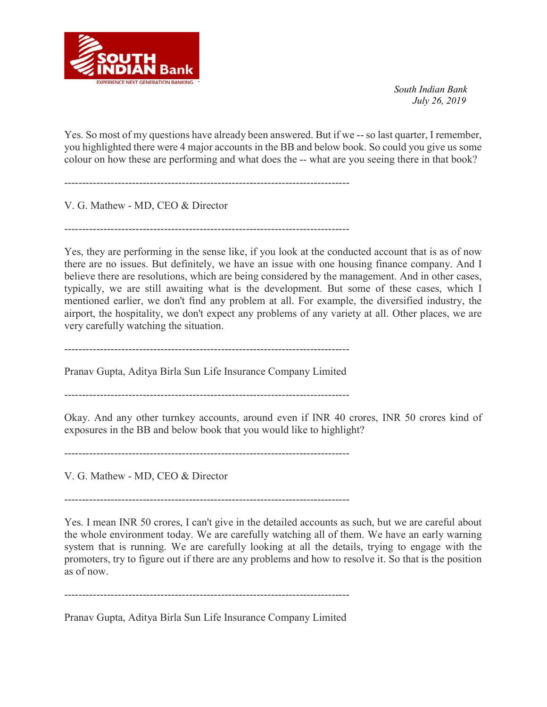

Yes. So most of my questions have already been answered. But if we -- so last quarter, I remember, you highlighted there were 4 major accounts in the BB and below book. So could you give us some colour on how these are performing and what does the -- what are you seeing there in that book?

--------------------------------------------------------------------------------

V. G. Mathew - MD, CEO & Director

--------------------------------------------------------------------------------

Yes, they are performing in the sense like, if you look at the conducted account that is as of now there are no issues. But definitely, we have an issue with one housing finance company. And I believe there are resolutions, which are being considered by the management. And in other cases, typically, we are still awaiting what is the development. But some of these cases, which I mentioned earlier, we don't find any problem at all. For example, the diversified industry, the airport, the hospitality, we don't expect any problems of any variety at all. Other places, we are very carefully watching the situation.

--------------------------------------------------------------------------------

Pranav Gupta, Aditya Birla Sun Life Insurance Company Limited

--------------------------------------------------------------------------------

Okay. And any other turnkey accounts, around even if INR 40 crores, INR 50 crores kind of exposures in the BB and below book that you would like to highlight?

--------------------------------------------------------------------------------

V. G. Mathew - MD, CEO & Director

--------------------------------------------------------------------------------

Yes. I mean INR 50 crores, I can't give in the detailed accounts as such, but we are careful about the whole environment today. We are carefully watching all of them. We have an early warning system that is running. We are carefully looking at all the details, trying to engage with the promoters, try to figure out if there are any problems and how to resolve it. So that is the position as of now.

--------------------------------------------------------------------------------

Pranav Gupta, Aditya Birla Sun Life Insurance Company Limited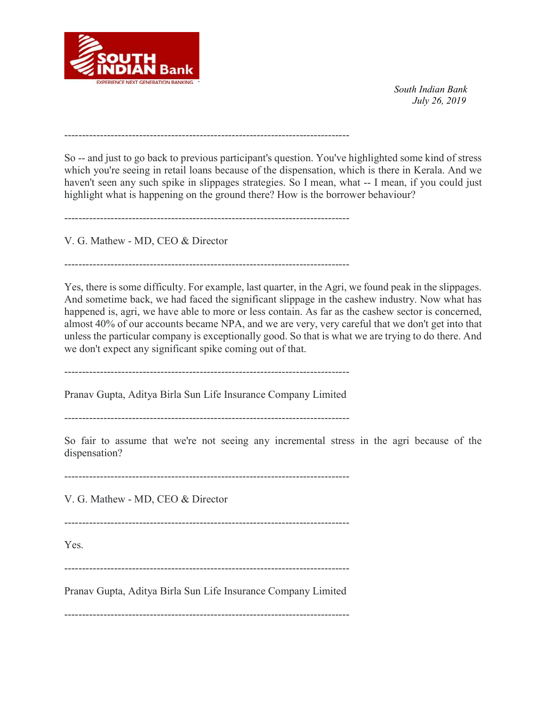

--------------------------------------------------------------------------------

So -- and just to go back to previous participant's question. You've highlighted some kind of stress which you're seeing in retail loans because of the dispensation, which is there in Kerala. And we haven't seen any such spike in slippages strategies. So I mean, what -- I mean, if you could just highlight what is happening on the ground there? How is the borrower behaviour?

--------------------------------------------------------------------------------

V. G. Mathew - MD, CEO & Director

--------------------------------------------------------------------------------

Yes, there is some difficulty. For example, last quarter, in the Agri, we found peak in the slippages. And sometime back, we had faced the significant slippage in the cashew industry. Now what has happened is, agri, we have able to more or less contain. As far as the cashew sector is concerned, almost 40% of our accounts became NPA, and we are very, very careful that we don't get into that unless the particular company is exceptionally good. So that is what we are trying to do there. And we don't expect any significant spike coming out of that.

--------------------------------------------------------------------------------

Pranav Gupta, Aditya Birla Sun Life Insurance Company Limited

--------------------------------------------------------------------------------

So fair to assume that we're not seeing any incremental stress in the agri because of the dispensation?

--------------------------------------------------------------------------------

V. G. Mathew - MD, CEO & Director

--------------------------------------------------------------------------------

Yes.

--------------------------------------------------------------------------------

Pranav Gupta, Aditya Birla Sun Life Insurance Company Limited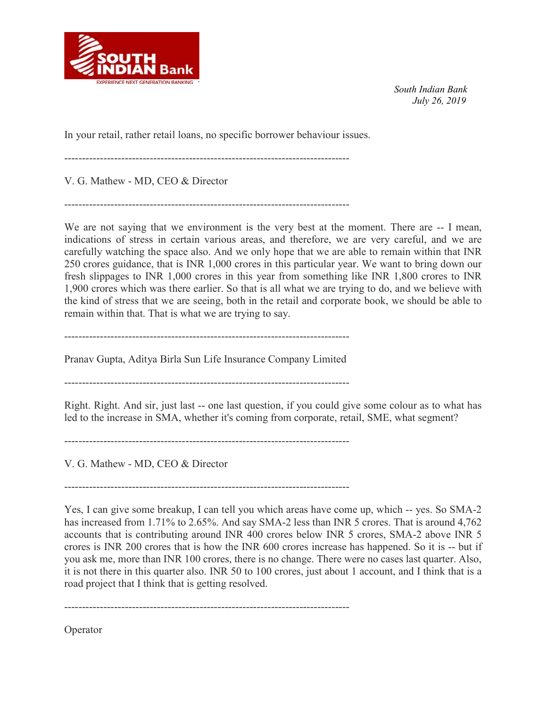

In your retail, rather retail loans, no specific borrower behaviour issues.

--------------------------------------------------------------------------------

V. G. Mathew - MD, CEO & Director

--------------------------------------------------------------------------------

We are not saying that we environment is the very best at the moment. There are  $-1$  mean, indications of stress in certain various areas, and therefore, we are very careful, and we are carefully watching the space also. And we only hope that we are able to remain within that INR 250 crores guidance, that is INR 1,000 crores in this particular year. We want to bring down our fresh slippages to INR 1,000 crores in this year from something like INR 1,800 crores to INR 1,900 crores which was there earlier. So that is all what we are trying to do, and we believe with the kind of stress that we are seeing, both in the retail and corporate book, we should be able to remain within that. That is what we are trying to say.

--------------------------------------------------------------------------------

Pranav Gupta, Aditya Birla Sun Life Insurance Company Limited

--------------------------------------------------------------------------------

Right. Right. And sir, just last -- one last question, if you could give some colour as to what has led to the increase in SMA, whether it's coming from corporate, retail, SME, what segment?

V. G. Mathew - MD, CEO & Director

--------------------------------------------------------------------------------

--------------------------------------------------------------------------------

Yes, I can give some breakup, I can tell you which areas have come up, which -- yes. So SMA-2 has increased from 1.71% to 2.65%. And say SMA-2 less than INR 5 crores. That is around 4,762 accounts that is contributing around INR 400 crores below INR 5 crores, SMA-2 above INR 5 crores is INR 200 crores that is how the INR 600 crores increase has happened. So it is -- but if you ask me, more than INR 100 crores, there is no change. There were no cases last quarter. Also, it is not there in this quarter also. INR 50 to 100 crores, just about 1 account, and I think that is a road project that I think that is getting resolved.

--------------------------------------------------------------------------------

Operator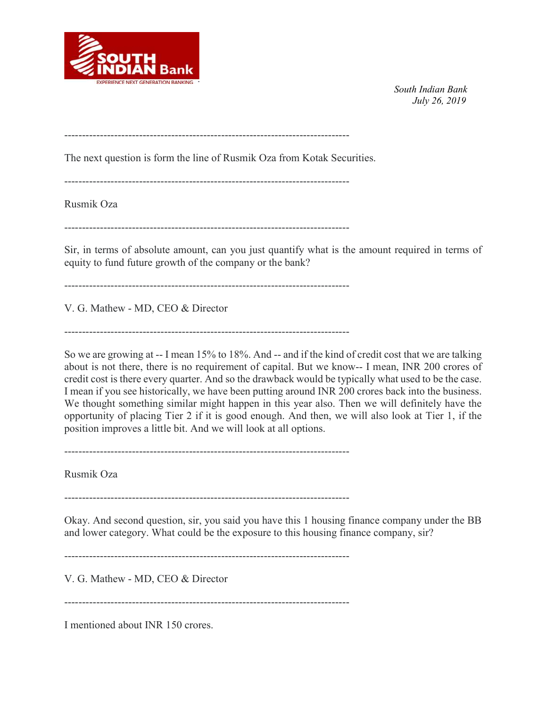

--------------------------------------------------------------------------------

The next question is form the line of Rusmik Oza from Kotak Securities.

--------------------------------------------------------------------------------

Rusmik Oza

--------------------------------------------------------------------------------

Sir, in terms of absolute amount, can you just quantify what is the amount required in terms of equity to fund future growth of the company or the bank?

--------------------------------------------------------------------------------

V. G. Mathew - MD, CEO & Director

--------------------------------------------------------------------------------

So we are growing at -- I mean 15% to 18%. And -- and if the kind of credit cost that we are talking about is not there, there is no requirement of capital. But we know-- I mean, INR 200 crores of credit cost is there every quarter. And so the drawback would be typically what used to be the case. I mean if you see historically, we have been putting around INR 200 crores back into the business. We thought something similar might happen in this year also. Then we will definitely have the opportunity of placing Tier 2 if it is good enough. And then, we will also look at Tier 1, if the position improves a little bit. And we will look at all options.

 $-$ 

Rusmik Oza

--------------------------------------------------------------------------------

Okay. And second question, sir, you said you have this 1 housing finance company under the BB and lower category. What could be the exposure to this housing finance company, sir?

 $-$ 

V. G. Mathew - MD, CEO & Director

--------------------------------------------------------------------------------

I mentioned about INR 150 crores.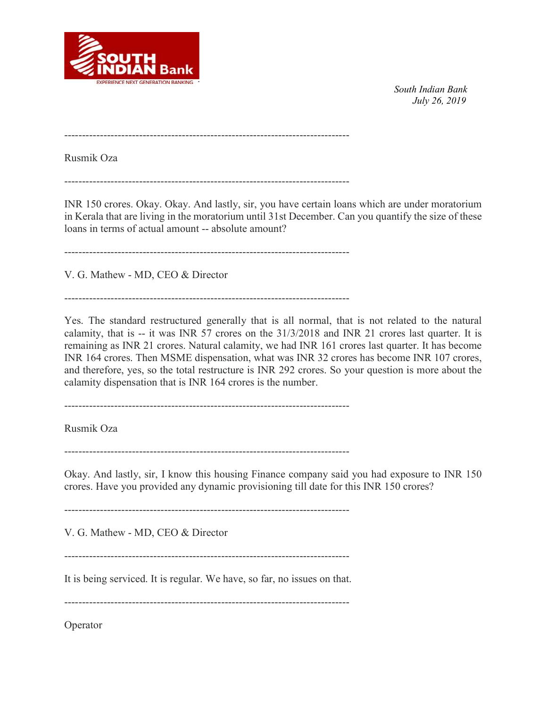

--------------------------------------------------------------------------------

Rusmik Oza

--------------------------------------------------------------------------------

INR 150 crores. Okay. Okay. And lastly, sir, you have certain loans which are under moratorium in Kerala that are living in the moratorium until 31st December. Can you quantify the size of these loans in terms of actual amount -- absolute amount?

--------------------------------------------------------------------------------

V. G. Mathew - MD, CEO & Director

--------------------------------------------------------------------------------

Yes. The standard restructured generally that is all normal, that is not related to the natural calamity, that is -- it was INR 57 crores on the 31/3/2018 and INR 21 crores last quarter. It is remaining as INR 21 crores. Natural calamity, we had INR 161 crores last quarter. It has become INR 164 crores. Then MSME dispensation, what was INR 32 crores has become INR 107 crores, and therefore, yes, so the total restructure is INR 292 crores. So your question is more about the calamity dispensation that is INR 164 crores is the number.

--------------------------------------------------------------------------------

Rusmik Oza

 $-$ 

Okay. And lastly, sir, I know this housing Finance company said you had exposure to INR 150 crores. Have you provided any dynamic provisioning till date for this INR 150 crores?

--------------------------------------------------------------------------------

V. G. Mathew - MD, CEO & Director

--------------------------------------------------------------------------------

It is being serviced. It is regular. We have, so far, no issues on that.

--------------------------------------------------------------------------------

Operator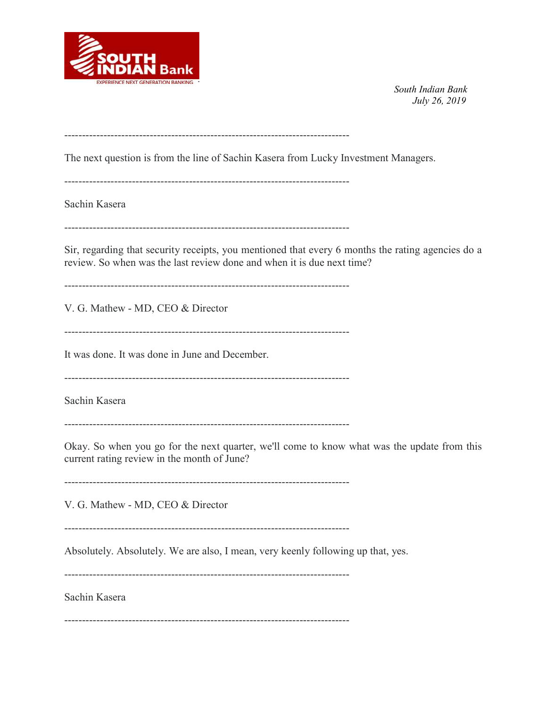

--------------------------------------------------------------------------------

The next question is from the line of Sachin Kasera from Lucky Investment Managers.

--------------------------------------------------------------------------------

Sachin Kasera

--------------------------------------------------------------------------------

Sir, regarding that security receipts, you mentioned that every 6 months the rating agencies do a review. So when was the last review done and when it is due next time?

--------------------------------------------------------------------------------

V. G. Mathew - MD, CEO & Director

--------------------------------------------------------------------------------

It was done. It was done in June and December.

--------------------------------------------------------------------------------

Sachin Kasera

--------------------------------------------------------------------------------

Okay. So when you go for the next quarter, we'll come to know what was the update from this current rating review in the month of June?

--------------------------------------------------------------------------------

V. G. Mathew - MD, CEO & Director

--------------------------------------------------------------------------------

Absolutely. Absolutely. We are also, I mean, very keenly following up that, yes.

--------------------------------------------------------------------------------

Sachin Kasera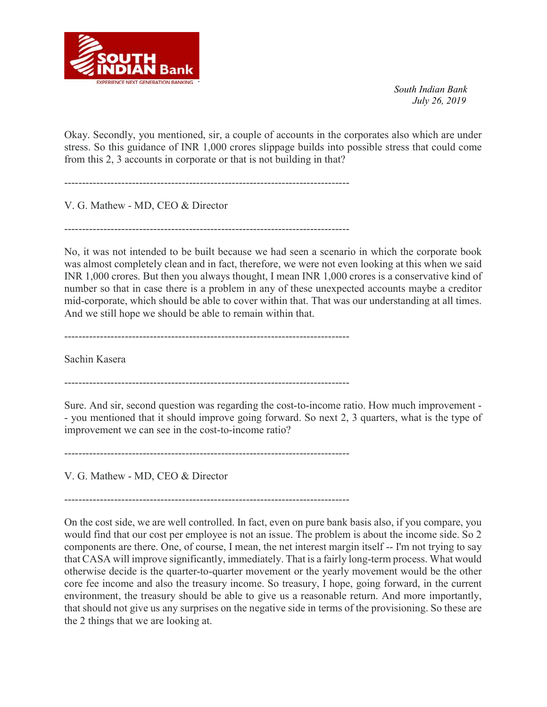

Okay. Secondly, you mentioned, sir, a couple of accounts in the corporates also which are under stress. So this guidance of INR 1,000 crores slippage builds into possible stress that could come from this 2, 3 accounts in corporate or that is not building in that?

--------------------------------------------------------------------------------

V. G. Mathew - MD, CEO & Director

--------------------------------------------------------------------------------

No, it was not intended to be built because we had seen a scenario in which the corporate book was almost completely clean and in fact, therefore, we were not even looking at this when we said INR 1,000 crores. But then you always thought, I mean INR 1,000 crores is a conservative kind of number so that in case there is a problem in any of these unexpected accounts maybe a creditor mid-corporate, which should be able to cover within that. That was our understanding at all times. And we still hope we should be able to remain within that.

--------------------------------------------------------------------------------

Sachin Kasera

--------------------------------------------------------------------------------

Sure. And sir, second question was regarding the cost-to-income ratio. How much improvement - - you mentioned that it should improve going forward. So next 2, 3 quarters, what is the type of improvement we can see in the cost-to-income ratio?

--------------------------------------------------------------------------------

V. G. Mathew - MD, CEO & Director

--------------------------------------------------------------------------------

On the cost side, we are well controlled. In fact, even on pure bank basis also, if you compare, you would find that our cost per employee is not an issue. The problem is about the income side. So 2 components are there. One, of course, I mean, the net interest margin itself -- I'm not trying to say that CASA will improve significantly, immediately. That is a fairly long-term process. What would otherwise decide is the quarter-to-quarter movement or the yearly movement would be the other core fee income and also the treasury income. So treasury, I hope, going forward, in the current environment, the treasury should be able to give us a reasonable return. And more importantly, that should not give us any surprises on the negative side in terms of the provisioning. So these are the 2 things that we are looking at.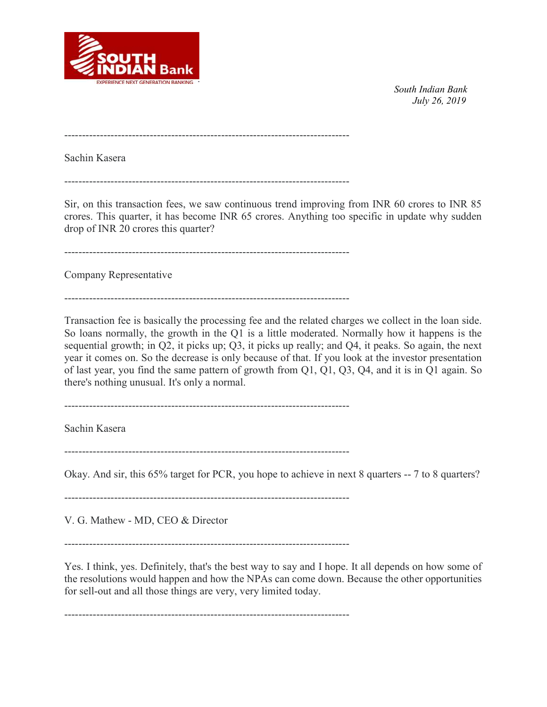

--------------------------------------------------------------------------------

Sachin Kasera

--------------------------------------------------------------------------------

Sir, on this transaction fees, we saw continuous trend improving from INR 60 crores to INR 85 crores. This quarter, it has become INR 65 crores. Anything too specific in update why sudden drop of INR 20 crores this quarter?

--------------------------------------------------------------------------------

Company Representative

--------------------------------------------------------------------------------

Transaction fee is basically the processing fee and the related charges we collect in the loan side. So loans normally, the growth in the Q1 is a little moderated. Normally how it happens is the sequential growth; in Q2, it picks up; Q3, it picks up really; and Q4, it peaks. So again, the next year it comes on. So the decrease is only because of that. If you look at the investor presentation of last year, you find the same pattern of growth from Q1, Q1, Q3, Q4, and it is in Q1 again. So there's nothing unusual. It's only a normal.

--------------------------------------------------------------------------------

Sachin Kasera

--------------------------------------------------------------------------------

Okay. And sir, this 65% target for PCR, you hope to achieve in next 8 quarters -- 7 to 8 quarters?

--------------------------------------------------------------------------------

V. G. Mathew - MD, CEO & Director

--------------------------------------------------------------------------------

Yes. I think, yes. Definitely, that's the best way to say and I hope. It all depends on how some of the resolutions would happen and how the NPAs can come down. Because the other opportunities for sell-out and all those things are very, very limited today.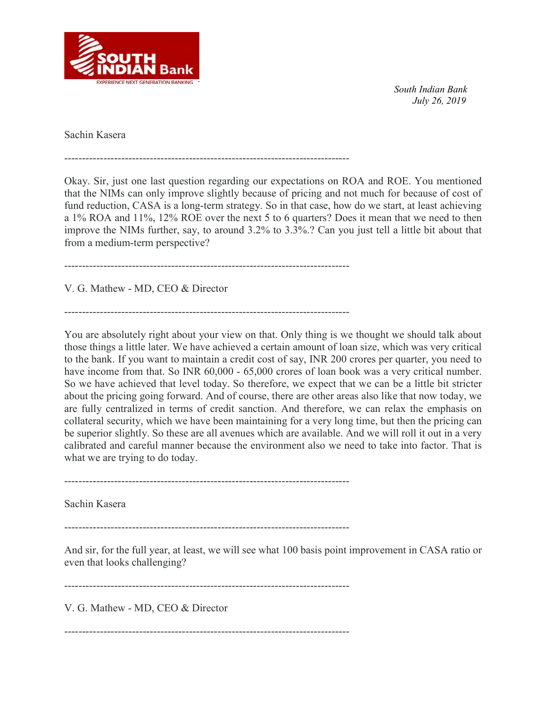

Sachin Kasera

--------------------------------------------------------------------------------

Okay. Sir, just one last question regarding our expectations on ROA and ROE. You mentioned that the NIMs can only improve slightly because of pricing and not much for because of cost of fund reduction, CASA is a long-term strategy. So in that case, how do we start, at least achieving a 1% ROA and 11%, 12% ROE over the next 5 to 6 quarters? Does it mean that we need to then improve the NIMs further, say, to around 3.2% to 3.3%.? Can you just tell a little bit about that from a medium-term perspective?

--------------------------------------------------------------------------------

V. G. Mathew - MD, CEO & Director

--------------------------------------------------------------------------------

You are absolutely right about your view on that. Only thing is we thought we should talk about those things a little later. We have achieved a certain amount of loan size, which was very critical to the bank. If you want to maintain a credit cost of say, INR 200 crores per quarter, you need to have income from that. So INR 60,000 - 65,000 crores of loan book was a very critical number. So we have achieved that level today. So therefore, we expect that we can be a little bit stricter about the pricing going forward. And of course, there are other areas also like that now today, we are fully centralized in terms of credit sanction. And therefore, we can relax the emphasis on collateral security, which we have been maintaining for a very long time, but then the pricing can be superior slightly. So these are all avenues which are available. And we will roll it out in a very calibrated and careful manner because the environment also we need to take into factor. That is what we are trying to do today.

--------------------------------------------------------------------------------

Sachin Kasera

--------------------------------------------------------------------------------

And sir, for the full year, at least, we will see what 100 basis point improvement in CASA ratio or even that looks challenging?

--------------------------------------------------------------------------------

V. G. Mathew - MD, CEO & Director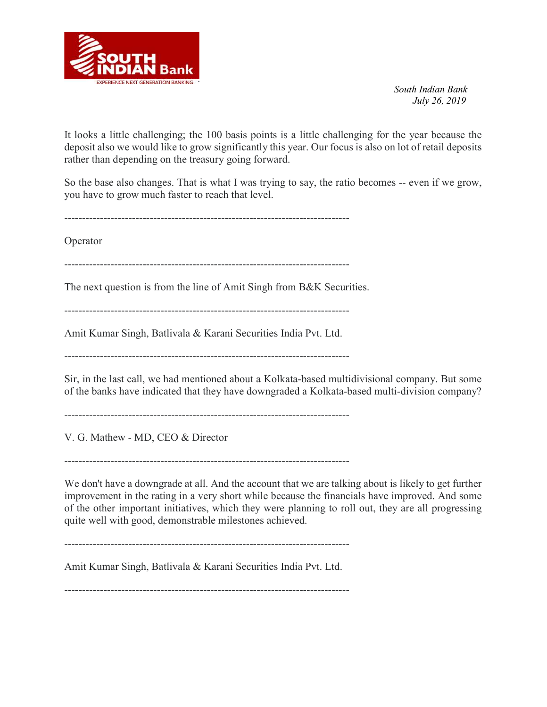

It looks a little challenging; the 100 basis points is a little challenging for the year because the deposit also we would like to grow significantly this year. Our focus is also on lot of retail deposits rather than depending on the treasury going forward.

So the base also changes. That is what I was trying to say, the ratio becomes -- even if we grow, you have to grow much faster to reach that level.

--------------------------------------------------------------------------------

Operator

--------------------------------------------------------------------------------

The next question is from the line of Amit Singh from B&K Securities.

 $-$ 

Amit Kumar Singh, Batlivala & Karani Securities India Pvt. Ltd.

--------------------------------------------------------------------------------

Sir, in the last call, we had mentioned about a Kolkata-based multidivisional company. But some of the banks have indicated that they have downgraded a Kolkata-based multi-division company?

--------------------------------------------------------------------------------

V. G. Mathew - MD, CEO & Director

--------------------------------------------------------------------------------

We don't have a downgrade at all. And the account that we are talking about is likely to get further improvement in the rating in a very short while because the financials have improved. And some of the other important initiatives, which they were planning to roll out, they are all progressing quite well with good, demonstrable milestones achieved.

--------------------------------------------------------------------------------

Amit Kumar Singh, Batlivala & Karani Securities India Pvt. Ltd.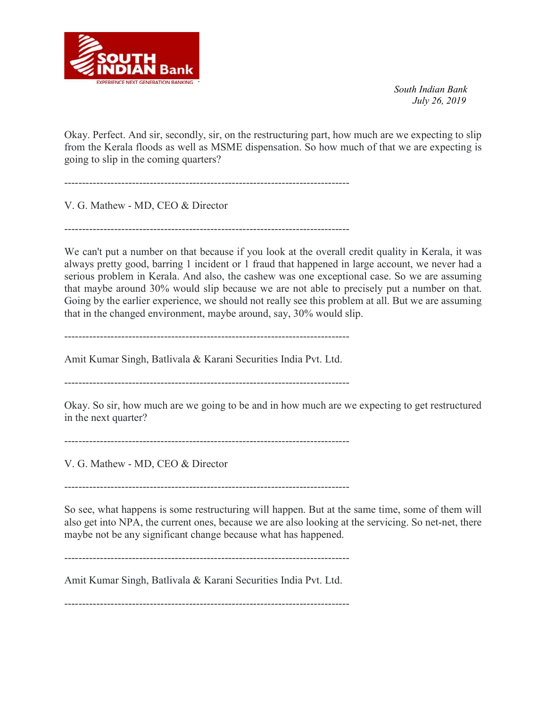

Okay. Perfect. And sir, secondly, sir, on the restructuring part, how much are we expecting to slip from the Kerala floods as well as MSME dispensation. So how much of that we are expecting is going to slip in the coming quarters?

--------------------------------------------------------------------------------

V. G. Mathew - MD, CEO & Director

--------------------------------------------------------------------------------

We can't put a number on that because if you look at the overall credit quality in Kerala, it was always pretty good, barring 1 incident or 1 fraud that happened in large account, we never had a serious problem in Kerala. And also, the cashew was one exceptional case. So we are assuming that maybe around 30% would slip because we are not able to precisely put a number on that. Going by the earlier experience, we should not really see this problem at all. But we are assuming that in the changed environment, maybe around, say, 30% would slip.

--------------------------------------------------------------------------------

Amit Kumar Singh, Batlivala & Karani Securities India Pvt. Ltd.

--------------------------------------------------------------------------------

Okay. So sir, how much are we going to be and in how much are we expecting to get restructured in the next quarter?

--------------------------------------------------------------------------------

V. G. Mathew - MD, CEO & Director

--------------------------------------------------------------------------------

So see, what happens is some restructuring will happen. But at the same time, some of them will also get into NPA, the current ones, because we are also looking at the servicing. So net-net, there maybe not be any significant change because what has happened.

--------------------------------------------------------------------------------

Amit Kumar Singh, Batlivala & Karani Securities India Pvt. Ltd.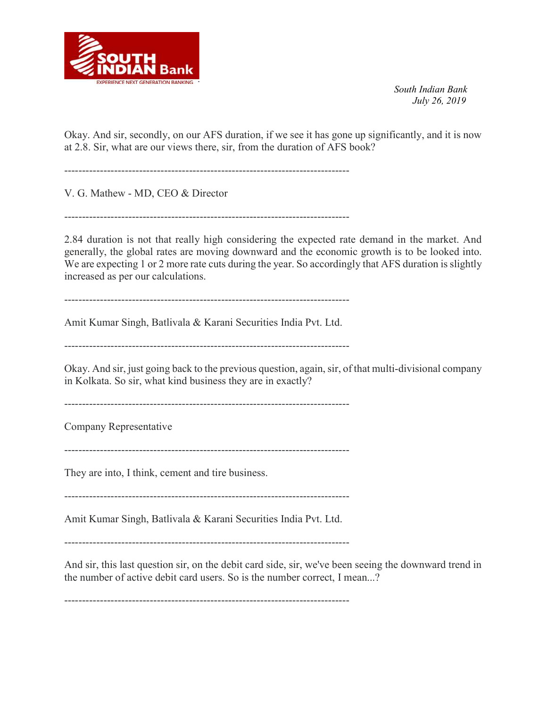

Okay. And sir, secondly, on our AFS duration, if we see it has gone up significantly, and it is now at 2.8. Sir, what are our views there, sir, from the duration of AFS book?

--------------------------------------------------------------------------------

V. G. Mathew - MD, CEO & Director

 $-$ 

2.84 duration is not that really high considering the expected rate demand in the market. And generally, the global rates are moving downward and the economic growth is to be looked into. We are expecting 1 or 2 more rate cuts during the year. So accordingly that AFS duration is slightly increased as per our calculations.

--------------------------------------------------------------------------------

Amit Kumar Singh, Batlivala & Karani Securities India Pvt. Ltd.

--------------------------------------------------------------------------------

Okay. And sir, just going back to the previous question, again, sir, of that multi-divisional company in Kolkata. So sir, what kind business they are in exactly?

--------------------------------------------------------------------------------

Company Representative

--------------------------------------------------------------------------------

They are into, I think, cement and tire business.

--------------------------------------------------------------------------------

Amit Kumar Singh, Batlivala & Karani Securities India Pvt. Ltd.

--------------------------------------------------------------------------------

And sir, this last question sir, on the debit card side, sir, we've been seeing the downward trend in the number of active debit card users. So is the number correct, I mean...?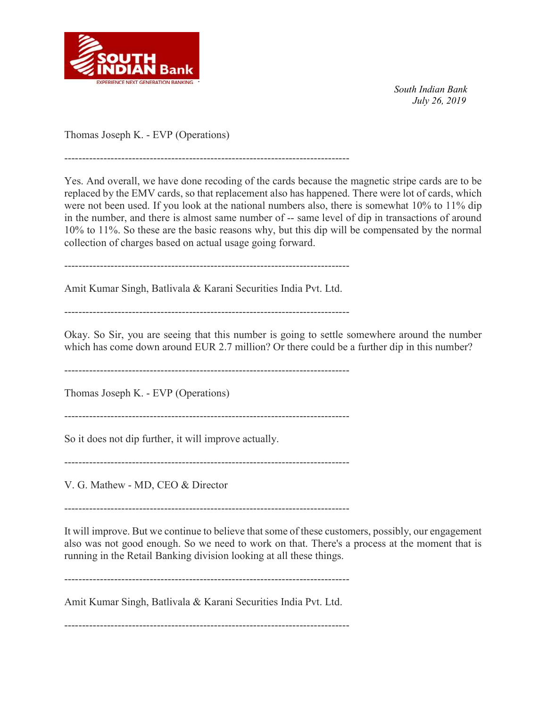

Thomas Joseph K. - EVP (Operations)

Yes. And overall, we have done recoding of the cards because the magnetic stripe cards are to be replaced by the EMV cards, so that replacement also has happened. There were lot of cards, which were not been used. If you look at the national numbers also, there is somewhat 10% to 11% dip in the number, and there is almost same number of -- same level of dip in transactions of around 10% to 11%. So these are the basic reasons why, but this dip will be compensated by the normal collection of charges based on actual usage going forward.

--------------------------------------------------------------------------------

--------------------------------------------------------------------------------

Amit Kumar Singh, Batlivala & Karani Securities India Pvt. Ltd.

--------------------------------------------------------------------------------

Okay. So Sir, you are seeing that this number is going to settle somewhere around the number which has come down around EUR 2.7 million? Or there could be a further dip in this number?

--------------------------------------------------------------------------------

Thomas Joseph K. - EVP (Operations)

--------------------------------------------------------------------------------

So it does not dip further, it will improve actually.

--------------------------------------------------------------------------------

V. G. Mathew - MD, CEO & Director

--------------------------------------------------------------------------------

It will improve. But we continue to believe that some of these customers, possibly, our engagement also was not good enough. So we need to work on that. There's a process at the moment that is running in the Retail Banking division looking at all these things.

--------------------------------------------------------------------------------

Amit Kumar Singh, Batlivala & Karani Securities India Pvt. Ltd.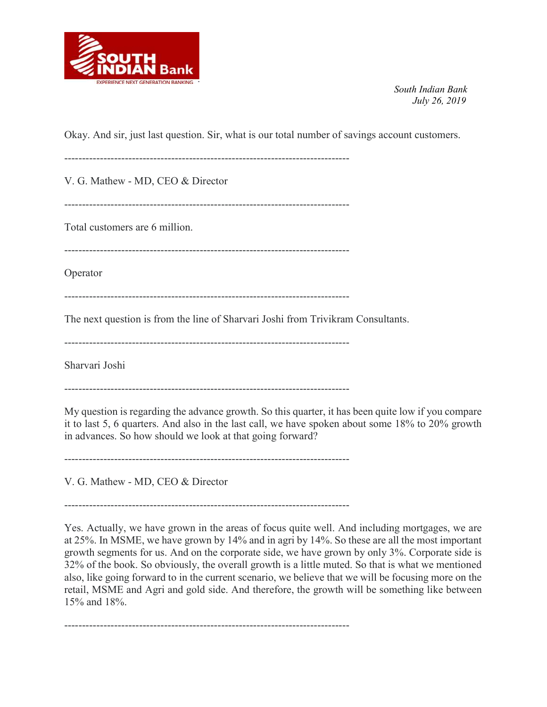

Okay. And sir, just last question. Sir, what is our total number of savings account customers.

--------------------------------------------------------------------------------

V. G. Mathew - MD, CEO & Director

--------------------------------------------------------------------------------

Total customers are 6 million.

--------------------------------------------------------------------------------

Operator

--------------------------------------------------------------------------------

The next question is from the line of Sharvari Joshi from Trivikram Consultants.

--------------------------------------------------------------------------------

Sharvari Joshi

--------------------------------------------------------------------------------

My question is regarding the advance growth. So this quarter, it has been quite low if you compare it to last 5, 6 quarters. And also in the last call, we have spoken about some 18% to 20% growth in advances. So how should we look at that going forward?

--------------------------------------------------------------------------------

V. G. Mathew - MD, CEO & Director

--------------------------------------------------------------------------------

Yes. Actually, we have grown in the areas of focus quite well. And including mortgages, we are at 25%. In MSME, we have grown by 14% and in agri by 14%. So these are all the most important growth segments for us. And on the corporate side, we have grown by only 3%. Corporate side is 32% of the book. So obviously, the overall growth is a little muted. So that is what we mentioned also, like going forward to in the current scenario, we believe that we will be focusing more on the retail, MSME and Agri and gold side. And therefore, the growth will be something like between 15% and 18%.